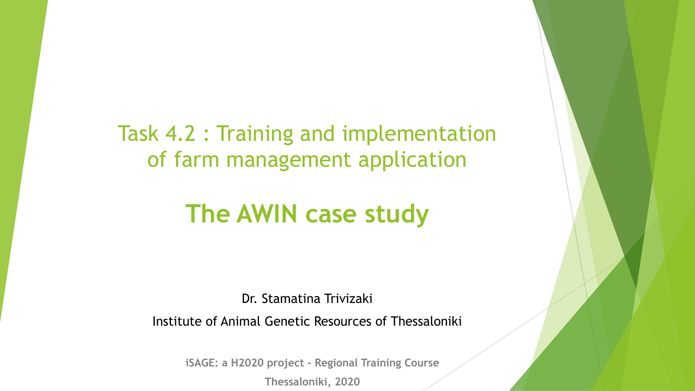Task 4.2 : Training and implementation of farm management application

### **The AWIN case study**

Dr. Stamatina Trivizaki

Institute of Animal Genetic Resources of Thessaloniki

**iSAGE: a H2020 project - Regional Training Course**

**Thessaloniki, 2020**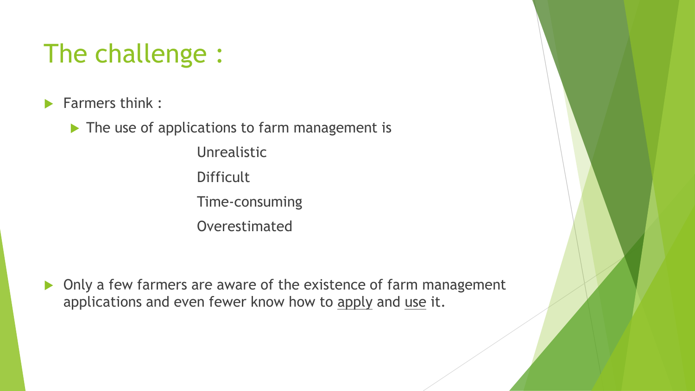# The challenge :

 $\blacktriangleright$  Farmers think :

▶ The use of applications to farm management is

Unrealistic **Difficult** Time-consuming Overestimated

▶ Only a few farmers are aware of the existence of farm management applications and even fewer know how to apply and use it.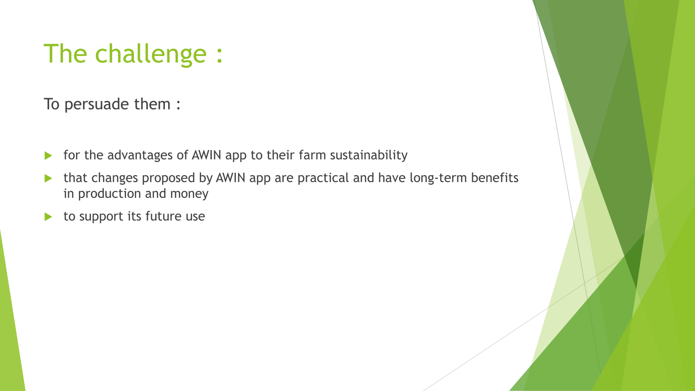# The challenge :

To persuade them :

- $\triangleright$  for the advantages of AWIN app to their farm sustainability
- that changes proposed by AWIN app are practical and have long-term benefits in production and money
- $\blacktriangleright$  to support its future use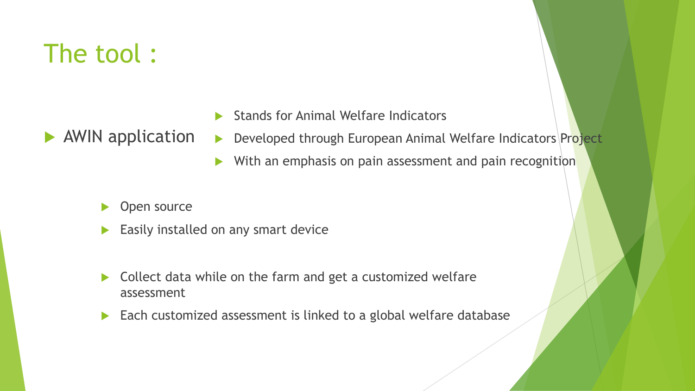## The tool :

**AWIN** application

- Stands for Animal Welfare Indicators
- ▶ Developed through European Animal Welfare Indicators Project
- $\triangleright$  With an emphasis on pain assessment and pain recognition
- Open source
- Easily installed on any smart device
- Collect data while on the farm and get a customized welfare assessment
- Each customized assessment is linked to a global welfare database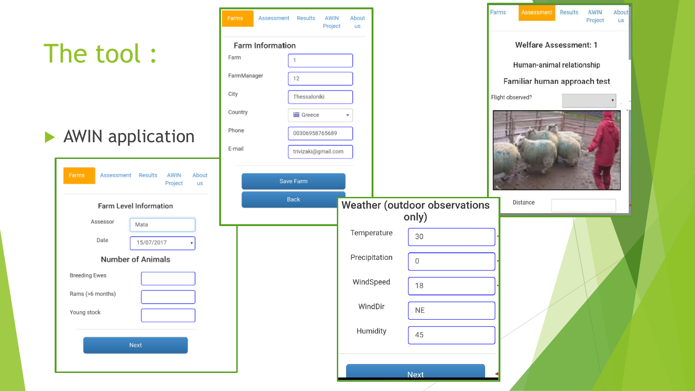|                                                               | Farms                   | Assessment Results<br>AWIN<br>Project | About<br>us   |              |                                      | Farms                        | <b>Assessment</b>            | Results | AWIN<br>Project | About<br>US: |
|---------------------------------------------------------------|-------------------------|---------------------------------------|---------------|--------------|--------------------------------------|------------------------------|------------------------------|---------|-----------------|--------------|
|                                                               | <b>Farm Information</b> |                                       |               |              |                                      | <b>Welfare Assessment: 1</b> |                              |         |                 |              |
| The tool:                                                     | Farm                    |                                       |               |              |                                      | Human-animal relationship    |                              |         |                 |              |
|                                                               | FarmManager             | 12                                    |               |              |                                      |                              | Familiar human approach test |         |                 |              |
|                                                               | City                    | Thessaloniki                          |               |              |                                      | Flight observed?             |                              |         |                 |              |
|                                                               | Country                 | <b>国</b> Greece                       |               |              |                                      |                              |                              |         |                 |              |
| AWIN application                                              | Phone                   | 00306958765689                        |               |              |                                      |                              |                              |         |                 |              |
|                                                               | E-mail                  | trivizaki@gmail.com                   |               |              |                                      |                              |                              |         |                 |              |
| AWIN<br>Farms<br>Assessment Results<br>About<br>Project<br>us |                         | Save Farm                             |               |              |                                      |                              |                              |         |                 |              |
| Farm Level Information                                        |                         | Back                                  |               |              | <b>Weather (outdoor observations</b> |                              | Distance                     |         |                 |              |
| Assessor<br>Mata                                              |                         |                                       |               | only)        |                                      |                              |                              |         |                 |              |
| Date<br>15/07/2017                                            |                         |                                       | Temperature   | 30           |                                      |                              |                              |         |                 |              |
| <b>Number of Animals</b>                                      |                         |                                       | Precipitation | $\mathsf{O}$ |                                      |                              |                              |         |                 |              |
| <b>Breeding Ewes</b>                                          |                         |                                       | WindSpeed     |              |                                      |                              |                              |         |                 |              |
| Rams (>6 months)                                              |                         |                                       |               | 18           |                                      |                              |                              |         |                 |              |
| Young stock                                                   |                         |                                       | WindDir       | <b>NE</b>    |                                      |                              |                              |         |                 |              |
|                                                               |                         |                                       | Humidity      | 45           |                                      |                              |                              |         |                 |              |
| Next                                                          |                         |                                       |               |              |                                      |                              |                              |         |                 |              |
|                                                               |                         |                                       |               |              |                                      |                              |                              |         |                 |              |
|                                                               |                         |                                       |               | <b>Next</b>  |                                      |                              |                              |         |                 |              |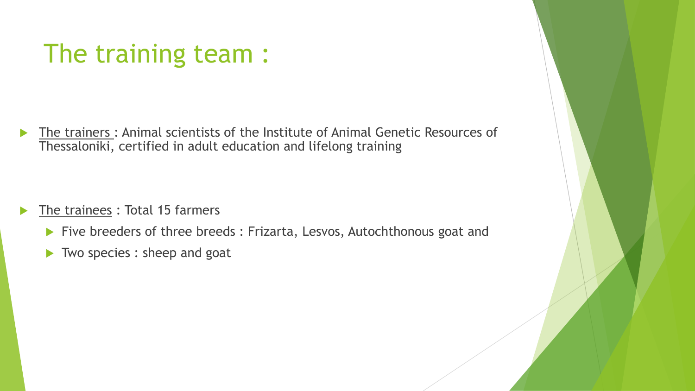## The training team :

 The trainers : Animal scientists of the Institute of Animal Genetic Resources of Thessaloniki, certified in adult education and lifelong training

- The trainees : Total 15 farmers
	- Five breeders of three breeds : Frizarta, Lesvos, Autochthonous goat and
	- Two species : sheep and goat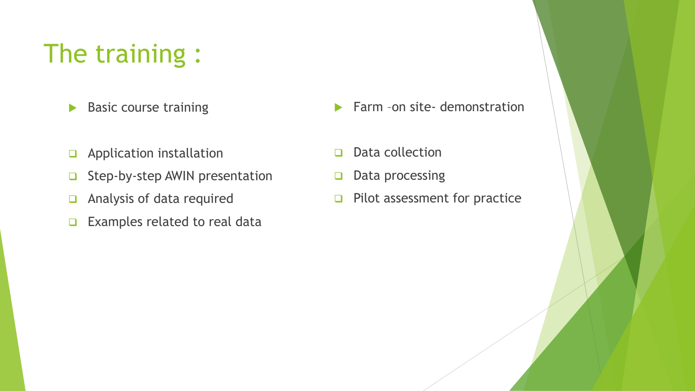# The training :

- Basic course training
- ❑ Application installation
- ❑ Step-by-step AWIN presentation
- ❑ Analysis of data required
- ❑ Examples related to real data
- **Farm -on site- demonstration**
- ❑ Data collection
- ❑ Data processing
- ❑ Pilot assessment for practice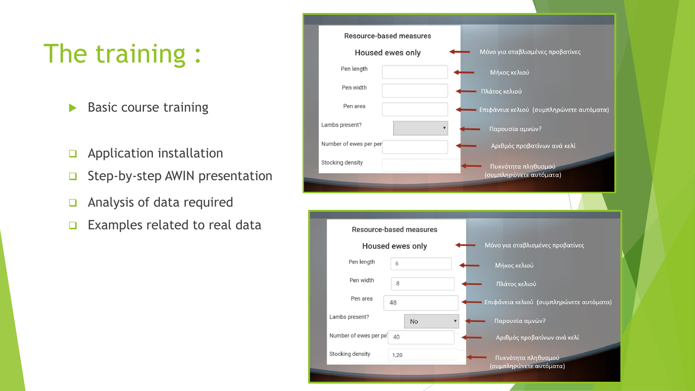# The training :

- $\blacktriangleright$  Basic course training
- ❑ Application installation
- ❑ Step-by-step AWIN presentation
- ❑ Analysis of data required
- ❑ Examples related to real data

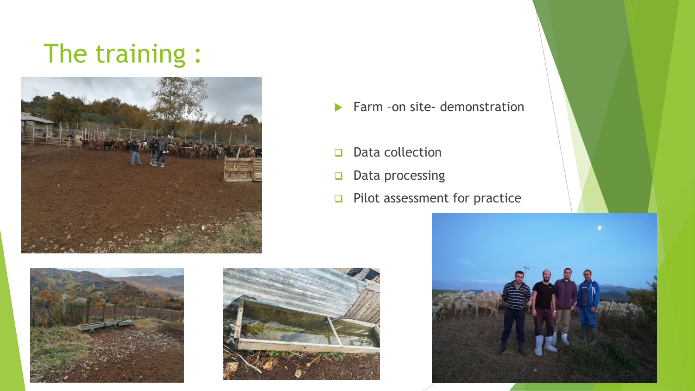## The training :





- ❑ Data collection
- ❑ Data processing
- ❑ Pilot assessment for practice





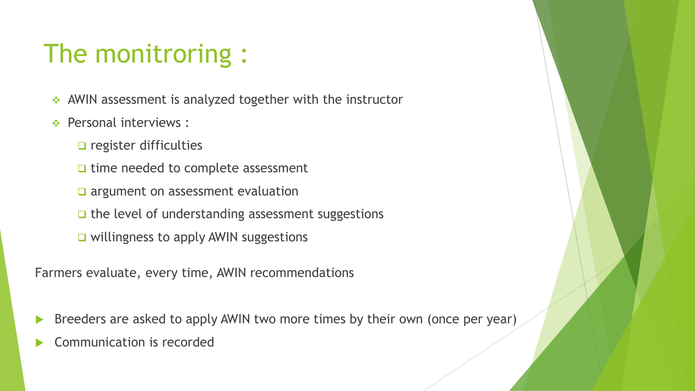# The monitroring :

- ❖ AWIN assessment is analyzed together with the instructor
- ❖ Personal interviews :
	- ❑ register difficulties
	- ❑ time needed to complete assessment
	- ❑ argument on assessment evaluation
	- ❑ the level of understanding assessment suggestions
	- ❑ willingness to apply AWIN suggestions

Farmers evaluate, every time, AWIN recommendations

- Breeders are asked to apply AWIN two more times by their own (once per year)
- Communication is recorded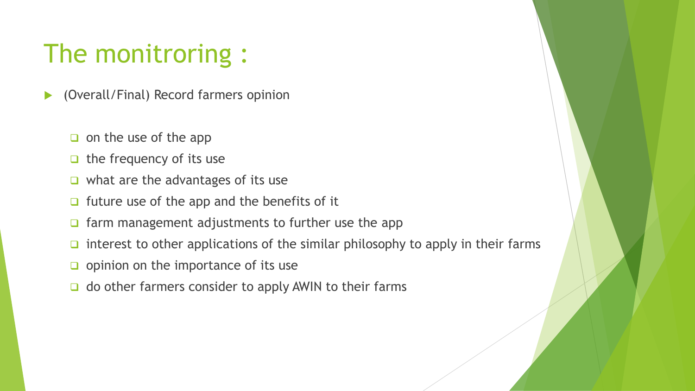## The monitroring :

- (Overall/Final) Record farmers opinion
	- ❑ on the use of the app
	- ❑ the frequency of its use
	- ❑ what are the advantages of its use
	- ❑ future use of the app and the benefits of it
	- ❑ farm management adjustments to further use the app
	- ❑ interest to other applications of the similar philosophy to apply in their farms
	- ❑ opinion on the importance of its use
	- ❑ do other farmers consider to apply AWIN to their farms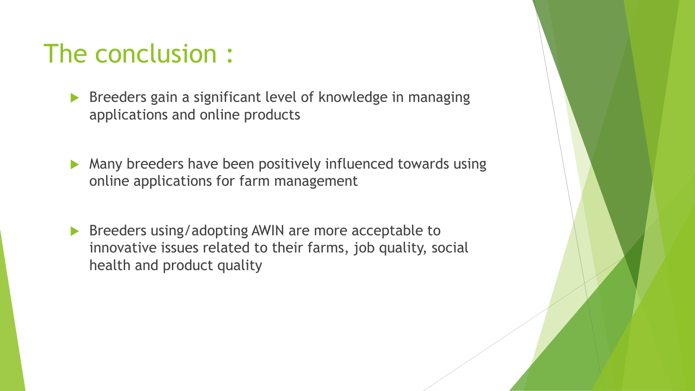### The conclusion :

- **Breeders gain a significant level of knowledge in managing** applications and online products
- Many breeders have been positively influenced towards using online applications for farm management
- **Breeders using/adopting AWIN are more acceptable to** innovative issues related to their farms, job quality, social health and product quality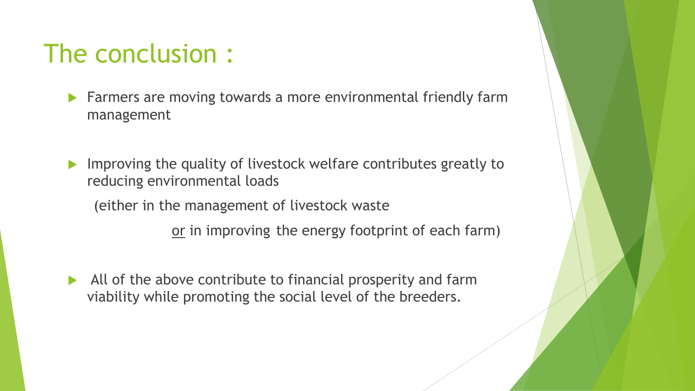### The conclusion :

- **Farmers are moving towards a more environmental friendly farm** management
- **IMPROPIED 10 Improving the quality of livestock welfare contributes greatly to** reducing environmental loads

(either in the management of livestock waste

or in improving the energy footprint of each farm)

 $\blacktriangleright$  All of the above contribute to financial prosperity and farm viability while promoting the social level of the breeders.